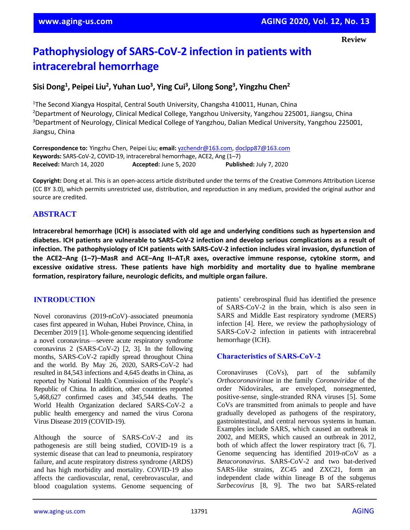**Review**

# **Pathophysiology of SARS-CoV-2 infection in patients with intracerebral hemorrhage**

## **Sisi Dong<sup>1</sup> , Peipei Liu<sup>2</sup> , Yuhan Luo<sup>3</sup> , Ying Cui<sup>3</sup> , Lilong Song<sup>3</sup> , Yingzhu Chen<sup>2</sup>**

<sup>1</sup>The Second Xiangya Hospital, Central South University, Changsha 410011, Hunan, China <sup>2</sup>Department of Neurology, Clinical Medical College, Yangzhou University, Yangzhou 225001, Jiangsu, China <sup>3</sup>Department of Neurology, Clinical Medical College of Yangzhou, Dalian Medical University, Yangzhou 225001, Jiangsu, China

**Correspondence to:** Yingzhu Chen, Peipei Liu; **email:** [yzchendr@163.com,](mailto:yzchendr@163.com) [doclpp87@163.com](mailto:doclpp87@163.com) **Keywords:** SARS-CoV-2, COVID-19, intracerebral hemorrhage, ACE2, Ang (1–7) **Received:** March 14, 2020 **Accepted:** June 5, 2020 **Published:** July 7, 2020

**Copyright:** Dong et al. This is an open-access article distributed under the terms of the Creative Commons Attribution License (CC BY 3.0), which permits unrestricted use, distribution, and reproduction in any medium, provided the original author and source are credited.

#### **ABSTRACT**

**Intracerebral hemorrhage (ICH) is associated with old age and underlying conditions such as hypertension and diabetes. ICH patients are vulnerable to SARS-CoV-2 infection and develop serious complications as a result of infection. The pathophysiology of ICH patients with SARS-CoV-2 infection includes viral invasion, dysfunction of** the ACE2-Ang (1-7)-MasR and ACE-Ang II-AT<sub>1</sub>R axes, overactive immune response, cytokine storm, and **excessive oxidative stress. These patients have high morbidity and mortality due to hyaline membrane formation, respiratory failure, neurologic deficits, and multiple organ failure.**

#### **INTRODUCTION**

Novel coronavirus (2019-nCoV)–associated pneumonia cases first appeared in Wuhan, Hubei Province, China, in December 2019 [1]. Whole-genome sequencing identified a novel coronavirus—severe acute respiratory syndrome coronavirus 2 (SARS-CoV-2) [2, 3]. In the following months, SARS-CoV-2 rapidly spread throughout China and the world. By May 26, 2020, SARS-CoV-2 had resulted in 84,543 infections and 4,645 deaths in China, as reported by National Health Commission of the People's Republic of China. In addition, other countries reported 5,468,627 confirmed cases and 345,544 deaths. The World Health Organization declared SARS-CoV-2 a public health emergency and named the virus Corona Virus Disease 2019 (COVID-19).

Although the source of SARS-CoV-2 and its pathogenesis are still being studied, COVID-19 is a systemic disease that can lead to pneumonia, respiratory failure, and acute respiratory distress syndrome (ARDS) and has high morbidity and mortality. COVID-19 also affects the cardiovascular, renal, cerebrovascular, and blood coagulation systems. Genome sequencing of patients' cerebrospinal fluid has identified the presence of SARS-CoV-2 in the brain, which is also seen in SARS and Middle East respiratory syndrome (MERS) infection [4]. Here, we review the pathophysiology of SARS-CoV-2 infection in patients with intracerebral hemorrhage (ICH).

#### **Characteristics of SARS-CoV-2**

Coronaviruses (CoVs), part of the subfamily *Orthocoronavirinae* in the family *Coronaviridae* of the order Nidovirales, are enveloped, nonsegmented, positive-sense, single-stranded RNA viruses [5]. Some CoVs are transmitted from animals to people and have gradually developed as pathogens of the respiratory, gastrointestinal, and central nervous systems in human. Examples include SARS, which caused an outbreak in 2002, and MERS, which caused an outbreak in 2012, both of which affect the lower respiratory tract [6, 7]. Genome sequencing has identified 2019-nCoV as a *Betacoronavirus*. SARS-CoV-2 and two bat-derived SARS-like strains, ZC45 and ZXC21, form an independent clade within lineage B of the subgenus *Sarbecovirus* [8, 9]. The two bat SARS-related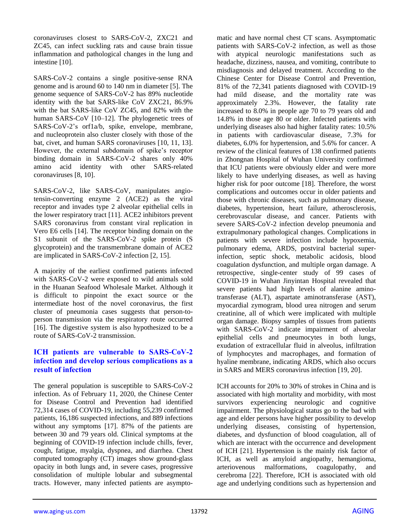coronaviruses closest to SARS-CoV-2, ZXC21 and ZC45, can infect suckling rats and cause brain tissue inflammation and pathological changes in the lung and intestine [10].

SARS-CoV-2 contains a single positive-sense RNA genome and is around 60 to 140 nm in diameter [5]. The genome sequence of SARS-CoV-2 has 89% nucleotide identity with the bat SARS-like CoV ZXC21, 86.9% with the bat SARS-like CoV ZC45, and 82% with the human SARS-CoV [10–12]. The phylogenetic trees of SARS-CoV-2's orf1a/b, spike, envelope, membrane, and nucleoprotein also cluster closely with those of the bat, civet, and human SARS coronaviruses [10, 11, 13]. However, the external subdomain of spike's receptor binding domain in SARS-CoV-2 shares only 40% amino acid identity with other SARS-related coronaviruses [8, 10].

SARS-CoV-2, like SARS-CoV, manipulates angiotensin-converting enzyme 2 (ACE2) as the viral receptor and invades type 2 alveolar epithelial cells in the lower respiratory tract [11]. ACE2 inhibitors prevent SARS coronavirus from constant viral replication in Vero E6 cells [14]. The receptor binding domain on the S1 subunit of the SARS-CoV-2 spike protein (S glycoprotein) and the transmembrane domain of ACE2 are implicated in SARS-CoV-2 infection [2, 15].

A majority of the earliest confirmed patients infected with SARS-CoV-2 were exposed to wild animals sold in the Huanan Seafood Wholesale Market. Although it is difficult to pinpoint the exact source or the intermediate host of the novel coronavirus, the first cluster of pneumonia cases suggests that person-toperson transmission via the respiratory route occurred [16]. The digestive system is also hypothesized to be a route of SARS-CoV-2 transmission.

#### **ICH patients are vulnerable to SARS-CoV-2 infection and develop serious complications as a result of infection**

The general population is susceptible to SARS-CoV-2 infection. As of February 11, 2020, the Chinese Center for Disease Control and Prevention had identified 72,314 cases of COVID-19, including 55,239 confirmed patients, 16,186 suspected infections, and 889 infections without any symptoms [17]. 87% of the patients are between 30 and 79 years old. Clinical symptoms at the beginning of COVID-19 infection include chills, fever, cough, fatigue, myalgia, dyspnea, and diarrhea. Chest computed tomography (CT) images show ground-glass opacity in both lungs and, in severe cases, progressive consolidation of multiple lobular and subsegmental tracts. However, many infected patients are asymptomatic and have normal chest CT scans. Asymptomatic patients with SARS-CoV-2 infection, as well as those with atypical neurologic manifestations such as headache, dizziness, nausea, and vomiting, contribute to misdiagnosis and delayed treatment. According to the Chinese Center for Disease Control and Prevention, 81% of the 72,341 patients diagnosed with COVID-19 had mild disease, and the mortality rate was approximately 2.3%. However, the fatality rate increased to 8.0% in people age 70 to 79 years old and 14.8% in those age 80 or older. Infected patients with underlying diseases also had higher fatality rates: 10.5% in patients with cardiovascular disease, 7.3% for diabetes, 6.0% for hypertension, and 5.6% for cancer. A review of the clinical features of 138 confirmed patients in Zhongnan Hospital of Wuhan University confirmed that ICU patients were obviously elder and were more likely to have underlying diseases, as well as having higher risk for poor outcome [18]. Therefore, the worst complications and outcomes occur in older patients and those with chronic diseases, such as pulmonary disease, diabetes, hypertension, heart failure, atherosclerosis, cerebrovascular disease, and cancer. Patients with severe SARS-CoV-2 infection develop pneumonia and extrapulmonary pathological changes. Complications in patients with severe infection include hypoxemia, pulmonary edema, ARDS, postviral bacterial superinfection, septic shock, metabolic acidosis, blood coagulation dysfunction, and multiple organ damage. A retrospective, single-center study of 99 cases of COVID-19 in Wuhan Jinyintan Hospital revealed that severe patients had high levels of alanine aminotransferase (ALT), aspartate aminotransferase (AST), myocardial zymogram, blood urea nitrogen and serum creatinine, all of which were implicated with multiple organ damage. Biopsy samples of tissues from patients with SARS-CoV-2 indicate impairment of alveolar epithelial cells and pneumocytes in both lungs, exudation of extracellular fluid in alveolus, infiltration of lymphocytes and macrophages, and formation of hyaline membrane, indicating ARDS, which also occurs in SARS and MERS coronavirus infection [19, 20].

ICH accounts for 20% to 30% of strokes in China and is associated with high mortality and morbidity, with most survivors experiencing neurologic and cognitive impairment. The physiological status go to the bad with age and elder persons have higher possibility to develop underlying diseases, consisting of hypertension, diabetes, and dysfunction of blood coagulation, all of which are interact with the occurrence and development of ICH [21]. Hypertension is the mainly risk factor of ICH, as well as amyloid angiopathy, hemangioma, arteriovenous malformations, coagulopathy, and cerebroma [22]. Therefore, ICH is associated with old age and underlying conditions such as hypertension and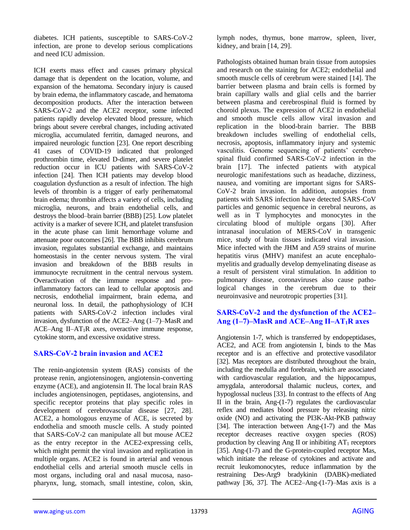diabetes. ICH patients, susceptible to SARS-CoV-2 infection, are prone to develop serious complications and need ICU admission.

ICH exerts mass effect and causes primary physical damage that is dependent on the location, volume, and expansion of the hematoma. Secondary injury is caused by brain edema, the inflammatory cascade, and hematoma decomposition products. After the interaction between SARS-CoV-2 and the ACE2 receptor, some infected patients rapidly develop elevated blood pressure, which brings about severe cerebral changes, including activated microglia, accumulated ferritin, damaged neurons, and impaired neurologic function [23]. One report describing 41 cases of COVID-19 indicated that prolonged prothrombin time, elevated D-dimer, and severe platelet reduction occur in ICU patients with SARS-CoV-2 infection [24]. Then ICH patients may develop blood coagulation dysfunction as a result of infection. The high levels of thrombin is a trigger of early perihematomal brain edema; thrombin affects a variety of cells, including microglia, neurons, and brain endothelial cells, and destroys the blood–brain barrier (BBB) [25]. Low platelet activity is a marker of severe ICH, and platelet transfusion in the acute phase can limit hemorrhage volume and attenuate poor outcomes [26]. The BBB inhibits cerebrum invasion, regulates substantial exchange, and maintains homeostasis in the center nervous system. The viral invasion and breakdown of the BBB results in immunocyte recruitment in the central nervous system. Overactivation of the immune response and proinflammatory factors can lead to cellular apoptosis and necrosis, endothelial impairment, brain edema, and neuronal loss. In detail, the pathophysiology of ICH patients with SARS-CoV-2 infection includes viral invasion, dysfunction of the ACE2–Ang (1–7)–MasR and ACE–Ang II–AT<sub>1</sub>R axes, overactive immune response, cytokine storm, and excessive oxidative stress.

## **SARS-CoV-2 brain invasion and ACE2**

The renin-angiotensin system (RAS) consists of the protease renin, angiotensinogen, angiotensin-converting enzyme (ACE), and angiotensin II. The local brain RAS includes angiotensinogen, peptidases, angiotensins, and specific receptor proteins that play specific roles in development of cerebrovascular disease [27, 28]. ACE2, a homologous enzyme of ACE, is secreted by endothelia and smooth muscle cells. A study pointed that SARS-CoV-2 can manipulate all but mouse ACE2 as the entry receptor in the ACE2-expressing cells, which might permit the viral invasion and replication in multiple organs. ACE2 is found in arterial and venous endothelial cells and arterial smooth muscle cells in most organs, including oral and nasal mucosa, nasopharynx, lung, stomach, small intestine, colon, skin,

lymph nodes, thymus, bone marrow, spleen, liver, kidney, and brain [14, 29].

Pathologists obtained human brain tissue from autopsies and research on the staining for ACE2; endothelial and smooth muscle cells of cerebrum were stained [14]. The barrier between plasma and brain cells is formed by brain capillary walls and glial cells and the barrier between plasma and cerebrospinal fluid is formed by choroid plexus. The expression of ACE2 in endothelial and smooth muscle cells allow viral invasion and replication in the blood-brain barrier. The BBB breakdown includes swelling of endothelial cells, necrosis, apoptosis, inflammatory injury and systemic vasculitis. Genome sequencing of patients' cerebrospinal fluid confirmed SARS-CoV-2 infection in the brain [17]. The infected patients with atypical neurologic manifestations such as headache, dizziness, nausea, and vomiting are important signs for SARS-CoV-2 brain invasion. In addition, autopsies from patients with SARS infection have detected SARS-CoV particles and genomic sequence in cerebral neurons, as well as in T lymphocytes and monocytes in the circulating blood of multiple organs [30]. After intranasal inoculation of MERS-CoV in transgenic mice, study of brain tissues indicated viral invasion. Mice infected with the JHM and A59 strains of murine hepatitis virus (MHV) manifest an acute encephalomyelitis and gradually develop demyelinating disease as a result of persistent viral stimulation. In addition to pulmonary disease, coronaviruses also cause pathological changes in the cerebrum due to their neuroinvasive and neurotropic properties [31].

## **SARS-CoV-2 and the dysfunction of the ACE2– Ang (1–7)–MasR and ACE–Ang II–AT1R axes**

Angiotensin 1-7, which is transferred by endopeptidases, ACE2, and ACE from angiotensin I, binds to the Mas receptor and is an effective and protective vasodilator [32]. Mas receptors are distributed throughout the brain, including the medulla and forebrain, which are associated with cardiovascular regulation, and the hippocampus, amygdala, anterodorsal thalamic nucleus, cortex, and hypoglossal nucleus [33]. In contrast to the effects of Ang II in the brain, Ang- $(1-7)$  regulates the cardiovascular reflex and mediates blood pressure by releasing nitric oxide (NO) and activating the PI3K-Akt-PKB pathway [34]. The interaction between Ang-(1-7) and the Mas receptor decreases reactive oxygen species (ROS) production by cleaving Ang II or inhibiting  $AT_1$  receptors [35]. Ang-(1-7) and the G-protein-coupled receptor Mas, which initiate the release of cytokines and activate and recruit leukomonocytes, reduce inflammation by the restraining Des-Arg9 bradykinin (DABK)-mediated pathway [36, 37]. The ACE2–Ang-(1-7)–Mas axis is a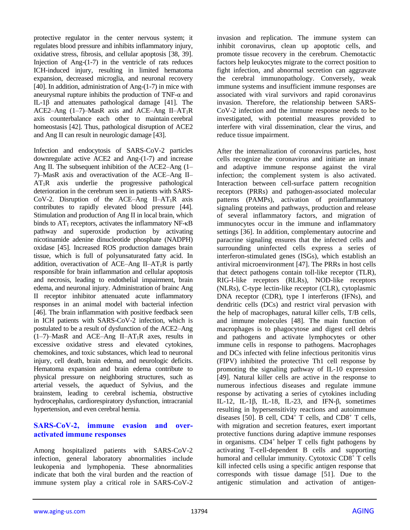protective regulator in the center nervous system; it regulates blood pressure and inhibits inflammatory injury, oxidative stress, fibrosis, and cellular apoptosis [38, 39]. Injection of Ang- $(1-7)$  in the ventricle of rats reduces ICH-induced injury, resulting in limited hematoma expansion, decreased microglia, and neuronal recovery [40]. In addition, administration of Ang-(1-7) in mice with aneurysmal rupture inhibits the production of TNF-α and IL-1β and attenuates pathological damage [41]. The ACE2–Ang  $(1–7)$ –MasR axis and ACE–Ang II–AT<sub>1</sub>R axis counterbalance each other to maintain cerebral homeostasis [42]. Thus, pathological disruption of ACE2 and Ang II can result in neurologic damage [43].

Infection and endocytosis of SARS-CoV-2 particles downregulate active ACE2 and Ang-(1-7) and increase Ang II. The subsequent inhibition of the ACE2–Ang (1– 7)–MasR axis and overactivation of the ACE–Ang II–  $AT_1R$  axis underlie the progressive pathological deterioration in the cerebrum seen in patients with SARS-CoV-2. Disruption of the ACE–Ang II–AT<sub>1</sub>R axis contributes to rapidly elevated blood pressure [44]. Stimulation and production of Ang II in local brain, which binds to  $AT_1$  receptors, activates the inflammatory NF- $\kappa$ B pathway and superoxide production by activating nicotinamide adenine dinucleotide phosphate (NADPH) oxidase [45]. Increased ROS production damages brain tissue, which is full of polyunsaturated fatty acid. In addition, overactivation of ACE–Ang II–AT<sub>1</sub>R is partly responsible for brain inflammation and cellular apoptosis and necrosis, leading to endothelial impairment, brain edema, and neuronal injury. Administration of brainc Ang II receptor inhibitor attenuated acute inflammatory responses in an animal model with bacterial infection [46]. The brain inflammation with positive feedback seen in ICH patients with SARS-CoV-2 infection, which is postulated to be a result of dysfunction of the ACE2–Ang  $(1-7)$ –MasR and ACE–Ang II–AT<sub>1</sub>R axes, results in excessive oxidative stress and elevated cytokines, chemokines, and toxic substances, which lead to neuronal injury, cell death, brain edema, and neurologic deficits. Hematoma expansion and brain edema contribute to physical pressure on neighboring structures, such as arterial vessels, the aqueduct of Sylvius, and the brainstem, leading to cerebral ischemia, obstructive hydrocephalus, cardiorespiratory dysfunction, intracranial hypertension, and even cerebral hernia.

#### **SARS-CoV-2, immune evasion and overactivated immune responses**

Among hospitalized patients with SARS-CoV-2 infection, general laboratory abnormalities include leukopenia and lymphopenia. These abnormalities indicate that both the viral burden and the reaction of immune system play a critical role in SARS-CoV-2 invasion and replication. The immune system can inhibit coronavirus, clean up apoptotic cells, and promote tissue recovery in the cerebrum. Chemotactic factors help leukocytes migrate to the correct position to fight infection, and abnormal secretion can aggravate the cerebral immunopathology. Conversely, weak immune systems and insufficient immune responses are associated with viral survivors and rapid coronavirus invasion. Therefore, the relationship between SARS-CoV-2 infection and the immune response needs to be investigated, with potential measures provided to interfere with viral dissemination, clear the virus, and reduce tissue impairment.

After the internalization of coronavirus particles, host cells recognize the coronavirus and initiate an innate and adaptive immune response against the viral infection; the complement system is also activated. Interaction between cell-surface pattern recognition receptors (PRRs) and pathogen-associated molecular patterns (PAMPs), activation of proinflammatory signaling proteins and pathways, production and release of several inflammatory factors, and migration of immunocytes occur in the immune and inflammatory settings [36]. In addition, complementary autocrine and paracrine signaling ensures that the infected cells and surrounding uninfected cells express a series of interferon-stimulated genes (ISGs), which establish an antiviral microenvironment [47]. The PRRs in host cells that detect pathogens contain toll-like receptor (TLR), RIG-I-like receptors (RLRs), NOD-like receptors (NLRs), C-type lectin-like receptor (CLR), cytoplasmic DNA receptor (CDR), type I interferons (IFNs), and dendritic cells (DCs) and restrict viral pervasion with the help of macrophages, natural killer cells, T/B cells, and immune molecules [48]. The main function of macrophages is to phagocytose and digest cell debris and pathogens and activate lymphocytes or other immune cells in response to pathogens. Macrophages and DCs infected with feline infectious peritonitis virus (FIPV) inhibited the protective Th1 cell response by promoting the signaling pathway of IL-10 expression [49]. Natural killer cells are active in the response to numerous infectious diseases and regulate immune response by activating a series of cytokines including IL-12, IL-1β, IL-18, IL-23, and IFN-β, sometimes resulting in hypersensitivity reactions and autoimmune diseases [50]. B cell,  $CD4^+$  T cells, and  $CD8^+$  T cells, with migration and secretion features, exert important protective functions during adaptive immune responses in organisms. CD4<sup>+</sup> helper T cells fight pathogens by activating T-cell-dependent B cells and supporting humoral and cellular immunity. Cytotoxic CD8<sup>+</sup> T cells kill infected cells using a specific antigen response that corresponds with tissue damage [51]. Due to the antigenic stimulation and activation of antigen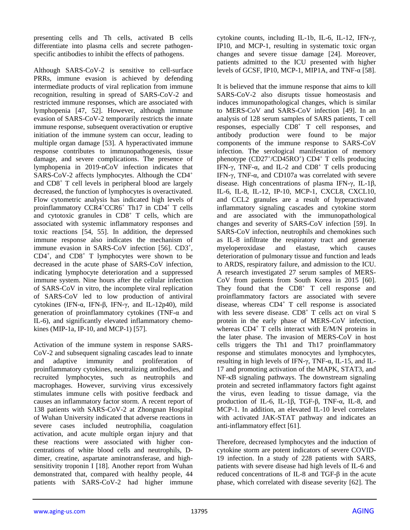presenting cells and Th cells, activated B cells differentiate into plasma cells and secrete pathogenspecific antibodies to inhibit the effects of pathogens.

Although SARS-CoV-2 is sensitive to cell-surface PRRs, immune evasion is achieved by defending intermediate products of viral replication from immune recognition, resulting in spread of SARS-CoV-2 and restricted immune responses, which are associated with lymphopenia [47, 52]. However, although immune evasion of SARS-CoV-2 temporarily restricts the innate immune response, subsequent overactivation or eruptive initiation of the immune system can occur, leading to multiple organ damage [53]. A hyperactivated immune response contributes to immunopathogenesis, tissue damage, and severe complications. The presence of lymphopenia in 2019-nCoV infection indicates that SARS-CoV-2 affects lymphocytes. Although the CD4<sup>+</sup> and CD8<sup>+</sup> T cell levels in peripheral blood are largely decreased, the function of lymphocytes is overactivated. Flow cytometric analysis has indicated high levels of proinflammatory CCR4<sup>+</sup>CCR6<sup>+</sup> Th17 in CD4<sup>+</sup> T cells and cytotoxic granules in  $CD8<sup>+</sup>$  T cells, which are associated with systemic inflammatory responses and toxic reactions [54, 55]. In addition, the depressed immune response also indicates the mechanism of immune evasion in SARS-CoV infection [56]. CD3<sup>+</sup>,  $CD4^+$ , and  $CD8^+$  T lymphocytes were shown to be decreased in the acute phase of SARS-CoV infection, indicating lymphocyte deterioration and a suppressed immune system. Nine hours after the cellular infection of SARS-CoV in vitro, the incomplete viral replication of SARS-CoV led to low production of antiviral cytokines (IFN-α, IFN-β, IFN-γ, and IL-12p40), mild generation of proinflammatory cytokines (TNF-α and IL-6), and significantly elevated inflammatory chemokines (MIP-1a, IP-10, and MCP-1) [57].

Activation of the immune system in response SARS-CoV-2 and subsequent signaling cascades lead to innate and adaptive immunity and proliferation of proinflammatory cytokines, neutralizing antibodies, and recruited lymphocytes, such as neutrophils and macrophages. However, surviving virus excessively stimulates immune cells with positive feedback and causes an inflammatory factor storm. A recent report of 138 patients with SARS-CoV-2 at Zhongnan Hospital of Wuhan University indicated that adverse reactions in severe cases included neutrophilia, coagulation activation, and acute multiple organ injury and that these reactions were associated with higher concentrations of white blood cells and neutrophils, Ddimer, creatine, aspartate aminotransferase, and highsensitivity troponin I [18]. Another report from Wuhan demonstrated that, compared with healthy people, 44 patients with SARS-CoV-2 had higher immune

cytokine counts, including IL-1b, IL-6, IL-12, IFN-γ, IP10, and MCP-1, resulting in systematic toxic organ changes and severe tissue damage [24]. Moreover, patients admitted to the ICU presented with higher levels of GCSF, IP10, MCP-1, MIP1A, and TNF-α [58].

It is believed that the immune response that aims to kill SARS-CoV-2 also disrupts tissue homeostasis and induces immunopathological changes, which is similar to MERS-CoV and SARS-CoV infection [49]. In an analysis of 128 serum samples of SARS patients, T cell responses, especially CD8<sup>+</sup> T cell responses, and antibody production were found to be major components of the immune response to SARS-CoV infection. The serological manifestation of memory phenotype (CD27+/CD45RO+) CD4+ T cells producing IFN-γ, TNF-α, and IL-2 and CD8<sup>+</sup> T cells producing IFN-γ, TNF-α, and CD107a was correlated with severe disease. High concentrations of plasma IFN-γ, IL-1β, IL-6, IL-8, IL-12, IP-10, MCP-1, CXCL8, CXCL10, and CCL2 granules are a result of hyperactivated inflammatory signaling cascades and cytokine storm and are associated with the immunopathological changes and severity of SARS-CoV infection [59]. In SARS-CoV infection, neutrophils and chemokines such as IL-8 infiltrate the respiratory tract and generate myeloperoxidase and elastase, which causes deterioration of pulmonary tissue and function and leads to ARDS, respiratory failure, and admission to the ICU. A research investigated 27 serum samples of MERS-CoV from patients from South Korea in 2015 [60]. They found that the  $CD8<sup>+</sup>$  T cell response and proinflammatory factors are associated with severe disease, whereas  $CD4^+$  T cell response is associated with less severe disease.  $CD8<sup>+</sup>$  T cells act on viral S protein in the early phase of MERS-CoV infection, whereas  $CD4^+$  T cells interact with E/M/N proteins in the later phase. The invasion of MERS-CoV in host cells triggers the Th1 and Th17 proinflammatory response and stimulates monocytes and lymphocytes, resulting in high levels of IFN- $γ$ , TNF- $α$ , IL-15, and IL-17 and promoting activation of the MAPK, STAT3, and NF-κB signaling pathways. The downstream signaling protein and secreted inflammatory factors fight against the virus, even leading to tissue damage, via the production of IL-6, IL-1β, TGF-β, TNF-α, IL-8, and MCP-1. In addition, an elevated IL-10 level correlates with activated JAK-STAT pathway and indicates an anti-inflammatory effect [61].

Therefore, decreased lymphocytes and the induction of cytokine storm are potent indicators of severe COVID-19 infection. In a study of 228 patients with SARS, patients with severe disease had high levels of IL-6 and reduced concentrations of IL-8 and TGF-β in the acute phase, which correlated with disease severity [62]. The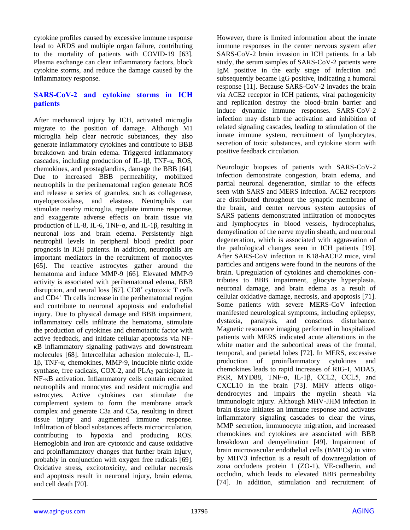cytokine profiles caused by excessive immune response lead to ARDS and multiple organ failure, contributing to the mortality of patients with COVID-19 [63]. Plasma exchange can clear inflammatory factors, block cytokine storms, and reduce the damage caused by the inflammatory response.

#### **SARS-CoV-2 and cytokine storms in ICH patients**

After mechanical injury by ICH, activated microglia migrate to the position of damage. Although M1 microglia help clear necrotic substances, they also generate inflammatory cytokines and contribute to BBB breakdown and brain edema. Triggered inflammatory cascades, including production of IL-1β, TNF-α, ROS, chemokines, and prostaglandins, damage the BBB [64]. Due to increased BBB permeability, mobilized neutrophils in the perihematomal region generate ROS and release a series of granules, such as collagenase, myeloperoxidase, and elastase. Neutrophils can stimulate nearby microglia, regulate immune response, and exaggerate adverse effects on brain tissue via production of IL-8, IL-6, TNF- $\alpha$ , and IL-1 $\beta$ , resulting in neuronal loss and brain edema. Persistently high neutrophil levels in peripheral blood predict poor prognosis in ICH patients. In addition, neutrophils are important mediators in the recruitment of monocytes [65]. The reactive astrocytes gather around the hematoma and induce MMP-9 [66]. Elevated MMP-9 activity is associated with perihematomal edema, BBB disruption, and neural loss  $[67]$ . CD8<sup>+</sup> cytotoxic T cells and CD4<sup>+</sup> Th cells increase in the perihematomal region and contribute to neuronal apoptosis and endothelial injury. Due to physical damage and BBB impairment, inflammatory cells infiltrate the hematoma, stimulate the production of cytokines and chemotactic factor with active feedback, and initiate cellular apoptosis via NFκB inflammatory signaling pathways and downstream molecules [68]. Intercellular adhesion molecule-1, IL-1β, TNF-α, chemokines, MMP-9, inducible nitric oxide synthase, free radicals,  $COX-2$ , and  $PLA<sub>2</sub>$  participate in NF-κB activation. Inflammatory cells contain recruited neutrophils and monocytes and resident microglia and astrocytes. Active cytokines can stimulate the complement system to form the membrane attack complex and generate C3a and C5a, resulting in direct tissue injury and augmented immune response. Infiltration of blood substances affects microcirculation, contributing to hypoxia and producing ROS. Hemoglobin and iron are cytotoxic and cause oxidative and proinflammatory changes that further brain injury, probably in conjunction with oxygen free radicals [69]. Oxidative stress, excitotoxicity, and cellular necrosis and apoptosis result in neuronal injury, brain edema, and cell death [70].

However, there is limited information about the innate immune responses in the center nervous system after SARS-CoV-2 brain invasion in ICH patients. In a lab study, the serum samples of SARS-CoV-2 patients were IgM positive in the early stage of infection and subsequently became IgG positive, indicating a humoral response [11]. Because SARS-CoV-2 invades the brain via ACE2 receptor in ICH patients, viral pathogenicity and replication destroy the blood–brain barrier and induce dynamic immune responses. SARS-CoV-2 infection may disturb the activation and inhibition of related signaling cascades, leading to stimulation of the innate immune system, recruitment of lymphocytes, secretion of toxic substances, and cytokine storm with positive feedback circulation.

Neurologic biopsies of patients with SARS-CoV-2 infection demonstrate congestion, brain edema, and partial neuronal degeneration, similar to the effects seen with SARS and MERS infection. ACE2 receptors are distributed throughout the synaptic membrane of the brain, and center nervous system autopsies of SARS patients demonstrated infiltration of monocytes and lymphocytes in blood vessels, hydrocephalus, demyelination of the nerve myelin sheath, and neuronal degeneration, which is associated with aggravation of the pathological changes seen in ICH patients [19]. After SARS-CoV infection in K18-hACE2 mice, viral particles and antigens were found in the neurons of the brain. Upregulation of cytokines and chemokines contributes to BBB impairment, gliocyte hyperplasia, neuronal damage, and brain edema as a result of cellular oxidative damage, necrosis, and apoptosis [71]. Some patients with severe MERS-CoV infection manifested neurological symptoms, including epilepsy, dystaxia, paralysis, and conscious disturbance. Magnetic resonance imaging performed in hospitalized patients with MERS indicated acute alterations in the white matter and the subcortical areas of the frontal, temporal, and parietal lobes [72]. In MERS, excessive production of proinflammatory cytokines and chemokines leads to rapid increases of RIG-I, MDA5, PKR, MYD88, TNF-α, IL-1β, CCL2, CCL5, and CXCL10 in the brain [73]. MHV affects oligodendrocytes and impairs the myelin sheath via immunologic injury. Although MHV-JHM infection in brain tissue initiates an immune response and activates inflammatory signaling cascades to clear the virus, MMP secretion, immunocyte migration, and increased chemokines and cytokines are associated with BBB breakdown and demyelination [49]. Impairment of brain microvascular endothelial cells (BMECs) in vitro by MHV3 infection is a result of downregulation of zona occludens protein 1 (ZO-1), VE-cadherin, and occludin, which leads to elevated BBB permeability [74]. In addition, stimulation and recruitment of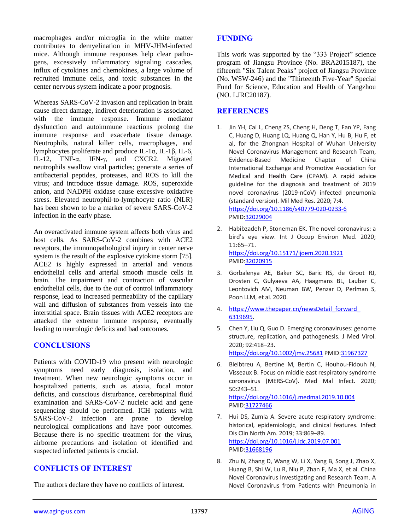macrophages and/or microglia in the white matter contributes to demyelination in MHV-JHM-infected mice. Although immune responses help clear pathogens, excessively inflammatory signaling cascades, influx of cytokines and chemokines, a large volume of recruited immune cells, and toxic substances in the center nervous system indicate a poor prognosis.

Whereas SARS-CoV-2 invasion and replication in brain cause direct damage, indirect deterioration is associated with the immune response. Immune mediator dysfunction and autoimmune reactions prolong the immune response and exacerbate tissue damage. Neutrophils, natural killer cells, macrophages, and lymphocytes proliferate and produce IL-1α, IL-1β, IL-6, IL-12, TNF-α, IFN-γ, and CXCR2. Migrated neutrophils swallow viral particles; generate a series of antibacterial peptides, proteases, and ROS to kill the virus; and introduce tissue damage. ROS, superoxide anion, and NADPH oxidase cause excessive oxidative stress. Elevated neutrophil-to-lymphocyte ratio (NLR) has been shown to be a marker of severe SARS-CoV-2 infection in the early phase.

An overactivated immune system affects both virus and host cells. As SARS-CoV-2 combines with ACE2 receptors, the immunopathological injury in center nerve system is the result of the explosive cytokine storm [75]. ACE2 is highly expressed in arterial and venous endothelial cells and arterial smooth muscle cells in brain. The impairment and contraction of vascular endothelial cells, due to the out of control inflammatory response, lead to increased permeability of the capillary wall and diffusion of substances from vessels into the interstitial space. Brain tissues with ACE2 receptors are attacked the extreme immune response, eventually leading to neurologic deficits and bad outcomes.

#### **CONCLUSIONS**

Patients with COVID-19 who present with neurologic symptoms need early diagnosis, isolation, and treatment. When new neurologic symptoms occur in hospitalized patients, such as ataxia, focal motor deficits, and conscious disturbance, cerebrospinal fluid examination and SARS-CoV-2 nucleic acid and gene sequencing should be performed. ICH patients with SARS-CoV-2 infection are prone to develop neurological complications and have poor outcomes. Because there is no specific treatment for the virus, airborne precautions and isolation of identified and suspected infected patients is crucial.

## **CONFLICTS OF INTEREST**

The authors declare they have no conflicts of interest.

#### **FUNDING**

This work was supported by the "333 Project" science program of Jiangsu Province (No. BRA2015187), the fifteenth "Six Talent Peaks" project of Jiangsu Province (No. WSW-246) and the "Thirteenth Five-Year" Special Fund for Science, Education and Health of Yangzhou (NO. LJRC20187).

## **REFERENCES**

- 1. Jin YH, Cai L, Cheng ZS, Cheng H, Deng T, Fan YP, Fang C, Huang D, Huang LQ, Huang Q, Han Y, Hu B, Hu F, et al, for the Zhongnan Hospital of Wuhan University Novel Coronavirus Management and Research Team, Evidence-Based Medicine Chapter of China International Exchange and Promotive Association for Medical and Health Care (CPAM). A rapid advice guideline for the diagnosis and treatment of 2019 novel coronavirus (2019-nCoV) infected pneumonia (standard version). Mil Med Res. 2020; 7:4. <https://doi.org/10.1186/s40779-020-0233-6> PMI[D:32029004](https://pubmed.ncbi.nlm.nih.gov/32029004)
- 2. Habibzadeh P, Stoneman EK. The novel coronavirus: a bird's eye view. Int J Occup Environ Med. 2020; 11:65–71. <https://doi.org/10.15171/ijoem.2020.1921> PMI[D:32020915](https://pubmed.ncbi.nlm.nih.gov/32020915)
- 3. Gorbalenya AE, Baker SC, Baric RS, de Groot RJ, Drosten C, Gulyaeva AA, Haagmans BL, Lauber C, Leontovich AM, Neuman BW, Penzar D, Perlman S, Poon LLM, et al. 2020.
- 4. https://www.thepaper.cn/newsDetail forward [6319695.](https://www.thepaper.cn/newsDetail_forward_6319695)
- 5. Chen Y, Liu Q, Guo D. Emerging coronaviruses: genome structure, replication, and pathogenesis. J Med Virol. 2020; 92:418–23. <https://doi.org/10.1002/jmv.25681> PMID[:31967327](https://pubmed.ncbi.nlm.nih.gov/31967327)
- 6. Bleibtreu A, Bertine M, Bertin C, Houhou-Fidouh N, Visseaux B. Focus on middle east respiratory syndrome coronavirus (MERS-CoV). Med Mal Infect. 2020; 50:243–51. <https://doi.org/10.1016/j.medmal.2019.10.004> PMI[D:31727466](https://pubmed.ncbi.nlm.nih.gov/31727466)
- 7. Hui DS, Zumla A. Severe acute respiratory syndrome: historical, epidemiologic, and clinical features. Infect Dis Clin North Am. 2019; 33:869–89. <https://doi.org/10.1016/j.idc.2019.07.001> PMI[D:31668196](https://pubmed.ncbi.nlm.nih.gov/31668196)
- 8. Zhu N, Zhang D, Wang W, Li X, Yang B, Song J, Zhao X, Huang B, Shi W, Lu R, Niu P, Zhan F, Ma X, et al. China Novel Coronavirus Investigating and Research Team. A Novel Coronavirus from Patients with Pneumonia in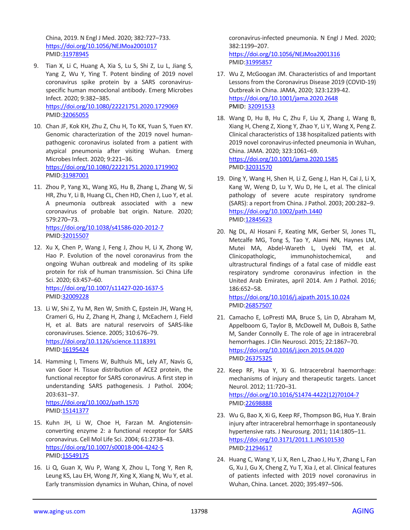China, 2019. N Engl J Med. 2020; 382:727–733. <https://doi.org/10.1056/NEJMoa2001017> PMID[:31978945](https://pubmed.ncbi.nlm.nih.gov/31978945)

- 9. Tian X, Li C, Huang A, Xia S, Lu S, Shi Z, Lu L, Jiang S, Yang Z, Wu Y, Ying T. Potent binding of 2019 novel coronavirus spike protein by a SARS coronavirusspecific human monoclonal antibody. Emerg Microbes Infect. 2020; 9:382–385. <https://doi.org/10.1080/22221751.2020.1729069> PMID[:32065055](https://pubmed.ncbi.nlm.nih.gov/32065055)
- 10. Chan JF, Kok KH, Zhu Z, Chu H, To KK, Yuan S, Yuen KY. Genomic characterization of the 2019 novel humanpathogenic coronavirus isolated from a patient with atypical pneumonia after visiting Wuhan. Emerg Microbes Infect. 2020; 9:221–36. <https://doi.org/10.1080/22221751.2020.1719902> PMID[:31987001](https://pubmed.ncbi.nlm.nih.gov/31987001)
- 11. Zhou P, Yang XL, Wang XG, Hu B, Zhang L, Zhang W, Si HR, Zhu Y, Li B, Huang CL, Chen HD, Chen J, Luo Y, et al. A pneumonia outbreak associated with a new coronavirus of probable bat origin. Nature. 2020; 579:270–73. <https://doi.org/10.1038/s41586-020-2012-7> PMID[:32015507](https://pubmed.ncbi.nlm.nih.gov/32015507)
- 12. Xu X, Chen P, Wang J, Feng J, Zhou H, Li X, Zhong W, Hao P. Evolution of the novel coronavirus from the ongoing Wuhan outbreak and modeling of its spike protein for risk of human transmission. Sci China Life Sci. 2020; 63:457–60. <https://doi.org/10.1007/s11427-020-1637-5> PMID[:32009228](https://pubmed.ncbi.nlm.nih.gov/32009228)
- 13. Li W, Shi Z, Yu M, Ren W, Smith C, Epstein JH, Wang H, Crameri G, Hu Z, Zhang H, Zhang J, McEachern J, Field H, et al. Bats are natural reservoirs of SARS-like coronaviruses. Science. 2005; 310:676–79. <https://doi.org/10.1126/science.1118391> PMID[:16195424](https://pubmed.ncbi.nlm.nih.gov/16195424)
- 14. Hamming I, Timens W, Bulthuis ML, Lely AT, Navis G, van Goor H. Tissue distribution of ACE2 protein, the functional receptor for SARS coronavirus. A first step in understanding SARS pathogenesis. J Pathol. 2004; 203:631–37. <https://doi.org/10.1002/path.1570> PMID[:15141377](https://pubmed.ncbi.nlm.nih.gov/15141377)
- 15. Kuhn JH, Li W, Choe H, Farzan M. Angiotensinconverting enzyme 2: a functional receptor for SARS coronavirus. Cell Mol Life Sci. 2004; 61:2738–43. <https://doi.org/10.1007/s00018-004-4242-5> PMID[:15549175](https://pubmed.ncbi.nlm.nih.gov/15549175)
- 16. Li Q, Guan X, Wu P, Wang X, Zhou L, Tong Y, Ren R, Leung KS, Lau EH, Wong JY, Xing X, Xiang N, Wu Y, et al. Early transmission dynamics in Wuhan, China, of novel

coronavirus-infected pneumonia. N Engl J Med. 2020; 382:1199–207. <https://doi.org/10.1056/NEJMoa2001316>

PMI[D:31995857](https://pubmed.ncbi.nlm.nih.gov/31995857)

- 17. Wu Z, McGoogan JM. Characteristics of and Important Lessons from the Coronavirus Disease 2019 (COVID-19) Outbreak in China. JAMA, 2020; 323:1239-42. <https://doi.org/10.1001/jama.2020.2648> PMID: [32091533](https://pubmed.ncbi.nlm.nih.gov/32091533/)
- 18. Wang D, Hu B, Hu C, Zhu F, Liu X, Zhang J, Wang B, Xiang H, Cheng Z, Xiong Y, Zhao Y, Li Y, Wang X, Peng Z. Clinical characteristics of 138 hospitalized patients with 2019 novel coronavirus-infected pneumonia in Wuhan, China. JAMA. 2020; 323:1061–69. <https://doi.org/10.1001/jama.2020.1585> PMI[D:32031570](https://pubmed.ncbi.nlm.nih.gov/32031570)
- 19. Ding Y, Wang H, Shen H, Li Z, Geng J, Han H, Cai J, Li X, Kang W, Weng D, Lu Y, Wu D, He L, et al. The clinical pathology of severe acute respiratory syndrome (SARS): a report from China. J Pathol. 2003; 200:282–9. <https://doi.org/10.1002/path.1440> PMI[D:12845623](https://pubmed.ncbi.nlm.nih.gov/12845623)
- 20. Ng DL, Al Hosani F, Keating MK, Gerber SI, Jones TL, Metcalfe MG, Tong S, Tao Y, Alami NN, Haynes LM, Mutei MA, Abdel-Wareth L, Uyeki TM, et al. Clinicopathologic, immunohistochemical, and ultrastructural findings of a fatal case of middle east respiratory syndrome coronavirus infection in the United Arab Emirates, april 2014. Am J Pathol. 2016; 186:652–58. <https://doi.org/10.1016/j.ajpath.2015.10.024>

PMI[D:26857507](https://pubmed.ncbi.nlm.nih.gov/26857507)

- 21. Camacho E, LoPresti MA, Bruce S, Lin D, Abraham M, Appelboom G, Taylor B, McDowell M, DuBois B, Sathe M, Sander Connolly E. The role of age in intracerebral hemorrhages. J Clin Neurosci. 2015; 22:1867–70. <https://doi.org/10.1016/j.jocn.2015.04.020> PMI[D:26375325](https://pubmed.ncbi.nlm.nih.gov/26375325)
- 22. Keep RF, Hua Y, Xi G. Intracerebral haemorrhage: mechanisms of injury and therapeutic targets. Lancet Neurol. 2012; 11:720–31. [https://doi.org/10.1016/S1474-4422\(12\)70104-7](https://doi.org/10.1016/S1474-4422(12)70104-7) PMI[D:22698888](https://pubmed.ncbi.nlm.nih.gov/22698888)
- 23. Wu G, Bao X, Xi G, Keep RF, Thompson BG, Hua Y. Brain injury after intracerebral hemorrhage in spontaneously hypertensive rats. J Neurosurg. 2011; 114:1805–11. <https://doi.org/10.3171/2011.1.JNS101530> PMI[D:21294617](https://pubmed.ncbi.nlm.nih.gov/21294617)
- 24. Huang C, Wang Y, Li X, Ren L, Zhao J, Hu Y, Zhang L, Fan G, Xu J, Gu X, Cheng Z, Yu T, Xia J, et al. Clinical features of patients infected with 2019 novel coronavirus in Wuhan, China. Lancet. 2020; 395:497–506.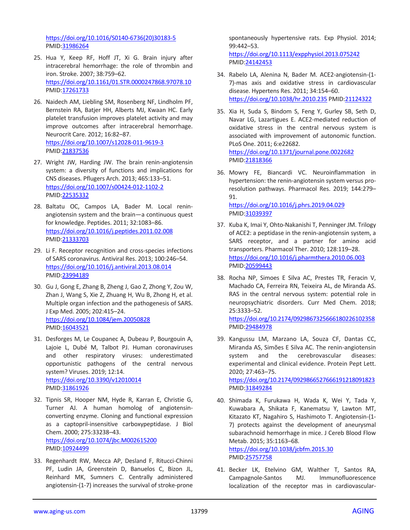[https://doi.org/10.1016/S0140-6736\(20\)30183-5](https://doi.org/10.1016/S0140-6736(20)30183-5) PMID[:31986264](https://pubmed.ncbi.nlm.nih.gov/31986264)

- 25. Hua Y, Keep RF, Hoff JT, Xi G. Brain injury after intracerebral hemorrhage: the role of thrombin and iron. Stroke. 2007; 38:759–62. <https://doi.org/10.1161/01.STR.0000247868.97078.10> PMID[:17261733](https://pubmed.ncbi.nlm.nih.gov/17261733)
- 26. Naidech AM, Liebling SM, Rosenberg NF, Lindholm PF, Bernstein RA, Batjer HH, Alberts MJ, Kwaan HC. Early platelet transfusion improves platelet activity and may improve outcomes after intracerebral hemorrhage. Neurocrit Care. 2012; 16:82–87. <https://doi.org/10.1007/s12028-011-9619-3> PMID[:21837536](https://pubmed.ncbi.nlm.nih.gov/21837536)
- 27. Wright JW, Harding JW. The brain renin-angiotensin system: a diversity of functions and implications for CNS diseases. Pflugers Arch. 2013; 465:133–51. <https://doi.org/10.1007/s00424-012-1102-2> PMID[:22535332](https://pubmed.ncbi.nlm.nih.gov/22535332)
- 28. Baltatu OC, Campos LA, Bader M. Local reninangiotensin system and the brain—a continuous quest for knowledge. Peptides. 2011; 32:1083–86. <https://doi.org/10.1016/j.peptides.2011.02.008> PMID[:21333703](https://pubmed.ncbi.nlm.nih.gov/21333703)
- 29. Li F. Receptor recognition and cross-species infections of SARS coronavirus. Antiviral Res. 2013; 100:246–54. <https://doi.org/10.1016/j.antiviral.2013.08.014> PMID[:23994189](https://pubmed.ncbi.nlm.nih.gov/23994189)
- 30. Gu J, Gong E, Zhang B, Zheng J, Gao Z, Zhong Y, Zou W, Zhan J, Wang S, Xie Z, Zhuang H, Wu B, Zhong H, et al. Multiple organ infection and the pathogenesis of SARS. J Exp Med. 2005; 202:415–24. <https://doi.org/10.1084/jem.20050828> PMID[:16043521](https://pubmed.ncbi.nlm.nih.gov/16043521)
- 31. Desforges M, Le Coupanec A, Dubeau P, Bourgouin A, Lajoie L, Dubé M, Talbot PJ. Human coronaviruses and other respiratory viruses: underestimated opportunistic pathogens of the central nervous system? Viruses. 2019; 12:14. <https://doi.org/10.3390/v12010014> PMID[:31861926](https://pubmed.ncbi.nlm.nih.gov/31861926)
- 32. Tipnis SR, Hooper NM, Hyde R, Karran E, Christie G, Turner AJ. A human homolog of angiotensinconverting enzyme. Cloning and functional expression as a captopril-insensitive carboxypeptidase. J Biol Chem. 2000; 275:33238–43. <https://doi.org/10.1074/jbc.M002615200> PMID[:10924499](https://pubmed.ncbi.nlm.nih.gov/10924499)
- 33. Regenhardt RW, Mecca AP, Desland F, Ritucci-Chinni PF, Ludin JA, Greenstein D, Banuelos C, Bizon JL, Reinhard MK, Sumners C. Centrally administered angiotensin-(1-7) increases the survival of stroke-prone

spontaneously hypertensive rats. Exp Physiol. 2014; 99:442–53. <https://doi.org/10.1113/expphysiol.2013.075242>

PMI[D:24142453](https://pubmed.ncbi.nlm.nih.gov/24142453)

- 34. Rabelo LA, Alenina N, Bader M. ACE2-angiotensin-(1- 7)-mas axis and oxidative stress in cardiovascular disease. Hypertens Res. 2011; 34:154–60. <https://doi.org/10.1038/hr.2010.235> PMID[:21124322](https://pubmed.ncbi.nlm.nih.gov/21124322)
- 35. Xia H, Suda S, Bindom S, Feng Y, Gurley SB, Seth D, Navar LG, Lazartigues E. ACE2-mediated reduction of oxidative stress in the central nervous system is associated with improvement of autonomic function. PLoS One. 2011; 6:e22682.

<https://doi.org/10.1371/journal.pone.0022682> PMI[D:21818366](https://pubmed.ncbi.nlm.nih.gov/21818366)

- 36. Mowry FE, Biancardi VC. Neuroinflammation in hypertension: the renin-angiotensin system versus proresolution pathways. Pharmacol Res. 2019; 144:279– 91. <https://doi.org/10.1016/j.phrs.2019.04.029> PMI[D:31039397](https://pubmed.ncbi.nlm.nih.gov/31039397)
- 37. Kuba K, Imai Y, Ohto-Nakanishi T, Penninger JM. Trilogy of ACE2: a peptidase in the renin-angiotensin system, a SARS receptor, and a partner for amino acid transporters. Pharmacol Ther. 2010; 128:119–28. <https://doi.org/10.1016/j.pharmthera.2010.06.003> PMI[D:20599443](https://pubmed.ncbi.nlm.nih.gov/20599443)
- 38. Rocha NP, Simoes E Silva AC, Prestes TR, Feracin V, Machado CA, Ferreira RN, Teixeira AL, de Miranda AS. RAS in the central nervous system: potential role in neuropsychiatric disorders. Curr Med Chem. 2018; 25:3333–52. <https://doi.org/10.2174/0929867325666180226102358>

PMI[D:29484978](https://pubmed.ncbi.nlm.nih.gov/29484978)

- 39. Kangussu LM, Marzano LA, Souza CF, Dantas CC, Miranda AS, Simões E Silva AC. The renin-angiotensin system and the cerebrovascular diseases: experimental and clinical evidence. Protein Pept Lett. 2020; 27:463–75. <https://doi.org/10.2174/0929866527666191218091823> PMI[D:31849284](https://pubmed.ncbi.nlm.nih.gov/31849284)
- 40. Shimada K, Furukawa H, Wada K, Wei Y, Tada Y, Kuwabara A, Shikata F, Kanematsu Y, Lawton MT, Kitazato KT, Nagahiro S, Hashimoto T. Angiotensin-(1- 7) protects against the development of aneurysmal subarachnoid hemorrhage in mice. J Cereb Blood Flow Metab. 2015; 35:1163–68.

<https://doi.org/10.1038/jcbfm.2015.30> PMI[D:25757758](https://pubmed.ncbi.nlm.nih.gov/25757758)

41. Becker LK, Etelvino GM, Walther T, Santos RA, Campagnole-Santos MJ. Immunofluorescence localization of the receptor mas in cardiovascular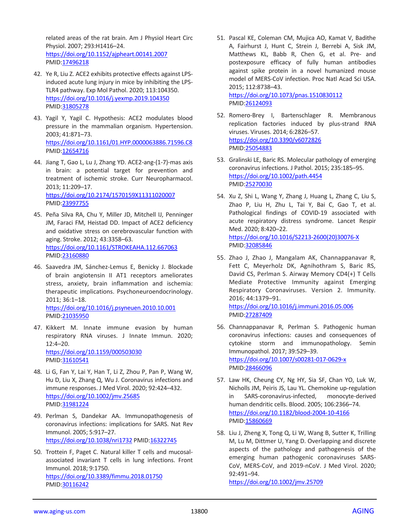related areas of the rat brain. Am J Physiol Heart Circ Physiol. 2007; 293:H1416–24. <https://doi.org/10.1152/ajpheart.00141.2007> PMID[:17496218](https://pubmed.ncbi.nlm.nih.gov/17496218)

- 42. Ye R, Liu Z. ACE2 exhibits protective effects against LPSinduced acute lung injury in mice by inhibiting the LPS-TLR4 pathway. Exp Mol Pathol. 2020; 113:104350. <https://doi.org/10.1016/j.yexmp.2019.104350> PMID[:31805278](https://pubmed.ncbi.nlm.nih.gov/31805278)
- 43. Yagil Y, Yagil C. Hypothesis: ACE2 modulates blood pressure in the mammalian organism. Hypertension. 2003; 41:871–73. <https://doi.org/10.1161/01.HYP.0000063886.71596.C8> PMID[:12654716](https://pubmed.ncbi.nlm.nih.gov/12654716)
- 44. Jiang T, Gao L, Lu J, Zhang YD. ACE2-ang-(1-7)-mas axis in brain: a potential target for prevention and treatment of ischemic stroke. Curr Neuropharmacol. 2013; 11:209–17. <https://doi.org/10.2174/1570159X11311020007> PMID[:23997755](https://pubmed.ncbi.nlm.nih.gov/23997755)
- 45. Peña Silva RA, Chu Y, Miller JD, Mitchell IJ, Penninger JM, Faraci FM, Heistad DD. Impact of ACE2 deficiency and oxidative stress on cerebrovascular function with aging. Stroke. 2012; 43:3358–63. <https://doi.org/10.1161/STROKEAHA.112.667063> PMID[:23160880](https://pubmed.ncbi.nlm.nih.gov/23160880)
- 46. Saavedra JM, Sánchez-Lemus E, Benicky J. Blockade of brain angiotensin II AT1 receptors ameliorates stress, anxiety, brain inflammation and ischemia: therapeutic implications. Psychoneuroendocrinology. 2011; 36:1–18. <https://doi.org/10.1016/j.psyneuen.2010.10.001> PMID[:21035950](https://pubmed.ncbi.nlm.nih.gov/21035950)
- 47. Kikkert M. Innate immune evasion by human respiratory RNA viruses. J Innate Immun. 2020; 12:4–20. <https://doi.org/10.1159/000503030> PMID[:31610541](https://pubmed.ncbi.nlm.nih.gov/31610541)
- 48. Li G, Fan Y, Lai Y, Han T, Li Z, Zhou P, Pan P, Wang W, Hu D, Liu X, Zhang Q, Wu J. Coronavirus infections and immune responses. J Med Virol. 2020; 92:424–432. <https://doi.org/10.1002/jmv.25685> PMID[:31981224](https://pubmed.ncbi.nlm.nih.gov/31981224)
- 49. Perlman S, Dandekar AA. Immunopathogenesis of coronavirus infections: implications for SARS. Nat Rev Immunol. 2005; 5:917–27. <https://doi.org/10.1038/nri1732> PMID[:16322745](https://pubmed.ncbi.nlm.nih.gov/16322745)
- 50. Trottein F, Paget C. Natural killer T cells and mucosalassociated invariant T cells in lung infections. Front Immunol. 2018; 9:1750. <https://doi.org/10.3389/fimmu.2018.01750> PMID[:30116242](https://pubmed.ncbi.nlm.nih.gov/30116242)
- 51. Pascal KE, Coleman CM, Mujica AO, Kamat V, Badithe A, Fairhurst J, Hunt C, Strein J, Berrebi A, Sisk JM, Matthews KL, Babb R, Chen G, et al. Pre- and postexposure efficacy of fully human antibodies against spike protein in a novel humanized mouse model of MERS-CoV infection. Proc Natl Acad Sci USA. 2015; 112:8738–43. <https://doi.org/10.1073/pnas.1510830112> PMI[D:26124093](https://pubmed.ncbi.nlm.nih.gov/26124093)
- 52. Romero-Brey I, Bartenschlager R. Membranous replication factories induced by plus-strand RNA viruses. Viruses. 2014; 6:2826–57. <https://doi.org/10.3390/v6072826>
	- PMI[D:25054883](https://pubmed.ncbi.nlm.nih.gov/25054883)
- 53. Gralinski LE, Baric RS. Molecular pathology of emerging coronavirus infections. J Pathol. 2015; 235:185–95. <https://doi.org/10.1002/path.4454> PMI[D:25270030](https://pubmed.ncbi.nlm.nih.gov/25270030)
- 54. Xu Z, Shi L, Wang Y, Zhang J, Huang L, Zhang C, Liu S, Zhao P, Liu H, Zhu L, Tai Y, Bai C, Gao T, et al. Pathological findings of COVID-19 associated with acute respiratory distress syndrome. Lancet Respir Med. 2020; 8:420–22. [https://doi.org/10.1016/S2213-2600\(20\)30076-X](https://doi.org/10.1016/S2213-2600(20)30076-X)
	- PMI[D:32085846](https://pubmed.ncbi.nlm.nih.gov/32085846)
- 55. Zhao J, Zhao J, Mangalam AK, Channappanavar R, Fett C, Meyerholz DK, Agnihothram S, Baric RS, David CS, Perlman S. Airway Memory CD4(+) T Cells Mediate Protective Immunity against Emerging Respiratory Coronaviruses. Version 2. Immunity. 2016; 44:1379–91. <https://doi.org/10.1016/j.immuni.2016.05.006>

PMI[D:27287409](https://pubmed.ncbi.nlm.nih.gov/27287409)

- 56. Channappanavar R, Perlman S. Pathogenic human coronavirus infections: causes and consequences of cytokine storm and immunopathology. Semin Immunopathol. 2017; 39:529–39. <https://doi.org/10.1007/s00281-017-0629-x> PMI[D:28466096](https://pubmed.ncbi.nlm.nih.gov/28466096)
- 57. Law HK, Cheung CY, Ng HY, Sia SF, Chan YO, Luk W, Nicholls JM, Peiris JS, Lau YL. Chemokine up-regulation in SARS-coronavirus-infected, monocyte-derived human dendritic cells. Blood. 2005; 106:2366–74. <https://doi.org/10.1182/blood-2004-10-4166> PMI[D:15860669](https://pubmed.ncbi.nlm.nih.gov/15860669)
- 58. Liu J, Zheng X, Tong Q, Li W, Wang B, Sutter K, Trilling M, Lu M, Dittmer U, Yang D. Overlapping and discrete aspects of the pathology and pathogenesis of the emerging human pathogenic coronaviruses SARS-CoV, MERS-CoV, and 2019-nCoV. J Med Virol. 2020; 92:491–94.

<https://doi.org/10.1002/jmv.25709>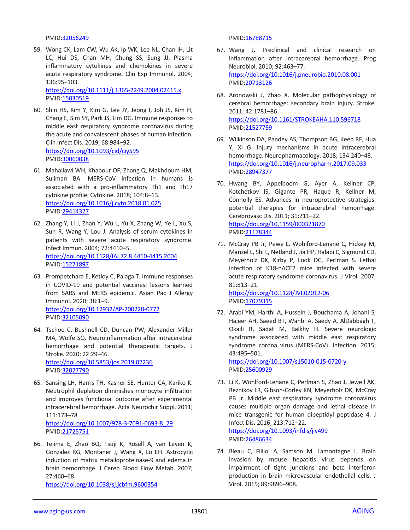PMID[:32056249](https://pubmed.ncbi.nlm.nih.gov/32056249)

59. Wong CK, Lam CW, Wu AK, Ip WK, Lee NL, Chan IH, Lit LC, Hui DS, Chan MH, Chung SS, Sung JJ. Plasma inflammatory cytokines and chemokines in severe acute respiratory syndrome. Clin Exp Immunol. 2004; 136:95–103.

<https://doi.org/10.1111/j.1365-2249.2004.02415.x> PMID[:15030519](https://pubmed.ncbi.nlm.nih.gov/15030519)

- 60. Shin HS, Kim Y, Kim G, Lee JY, Jeong I, Joh JS, Kim H, Chang E, Sim SY, Park JS, Lim DG. Immune responses to middle east respiratory syndrome coronavirus during the acute and convalescent phases of human infection. Clin Infect Dis. 2019; 68:984–92. <https://doi.org/10.1093/cid/ciy595> PMID[:30060038](https://pubmed.ncbi.nlm.nih.gov/30060038)
- 61. Mahallawi WH, Khabour OF, Zhang Q, Makhdoum HM, Suliman BA. MERS-CoV infection in humans is associated with a pro-inflammatory Th1 and Th17 cytokine profile. Cytokine. 2018; 104:8–13. <https://doi.org/10.1016/j.cyto.2018.01.025> PMID[:29414327](https://pubmed.ncbi.nlm.nih.gov/29414327)
- 62. Zhang Y, Li J, Zhan Y, Wu L, Yu X, Zhang W, Ye L, Xu S, Sun R, Wang Y, Lou J. Analysis of serum cytokines in patients with severe acute respiratory syndrome. Infect Immun. 2004; 72:4410–5. <https://doi.org/10.1128/IAI.72.8.4410-4415.2004> PMID: 15271897
- 63. Prompetchara E, Ketloy C, Palaga T. Immune responses in COVID-19 and potential vaccines: lessons learned from SARS and MERS epidemic. Asian Pac J Allergy Immunol. 2020; 38:1–9. <https://doi.org/10.12932/AP-200220-0772> PMID[:32105090](https://pubmed.ncbi.nlm.nih.gov/32105090)
- 64. Tschoe C, Bushnell CD, Duncan PW, Alexander-Miller MA, Wolfe SQ. Neuroinflammation after intracerebral hemorrhage and potential therapeutic targets. J Stroke. 2020; 22:29–46. <https://doi.org/10.5853/jos.2019.02236> PMID[:32027790](https://pubmed.ncbi.nlm.nih.gov/32027790)
- 65. Sansing LH, Harris TH, Kasner SE, Hunter CA, Kariko K. Neutrophil depletion diminishes monocyte infiltration and improves functional outcome after experimental intracerebral hemorrhage. Acta Neurochir Suppl. 2011; 111:173–78. [https://doi.org/10.1007/978-3-7091-0693-8\\_29](https://doi.org/10.1007/978-3-7091-0693-8_29) PMID[:21725751](https://pubmed.ncbi.nlm.nih.gov/21725751)
- 66. Tejima E, Zhao BQ, Tsuji K, Rosell A, van Leyen K, Gonzalez RG, Montaner J, Wang X, Lo EH. Astrocytic induction of matrix metalloproteinase-9 and edema in brain hemorrhage. J Cereb Blood Flow Metab. 2007; 27:460–68.

<https://doi.org/10.1038/sj.jcbfm.9600354>

PMI[D:16788715](https://pubmed.ncbi.nlm.nih.gov/16788715)

- 67. Wang J. Preclinical and clinical research on inflammation after intracerebral hemorrhage. Prog Neurobiol. 2010; 92:463–77. <https://doi.org/10.1016/j.pneurobio.2010.08.001> PMI[D:20713126](https://pubmed.ncbi.nlm.nih.gov/20713126)
- 68. Aronowski J, Zhao X. Molecular pathophysiology of cerebral hemorrhage: secondary brain injury. Stroke. 2011; 42:1781–86. <https://doi.org/10.1161/STROKEAHA.110.596718> PMI[D:21527759](https://pubmed.ncbi.nlm.nih.gov/21527759)
- 69. Wilkinson DA, Pandey AS, Thompson BG, Keep RF, Hua Y, Xi G. Injury mechanisms in acute intracerebral hemorrhage. Neuropharmacology. 2018; 134:240–48. <https://doi.org/10.1016/j.neuropharm.2017.09.033> PMI[D:28947377](https://pubmed.ncbi.nlm.nih.gov/28947377)
- 70. Hwang BY, Appelboom G, Ayer A, Kellner CP, Kotchetkov IS, Gigante PR, Haque R, Kellner M, Connolly ES. Advances in neuroprotective strategies: potential therapies for intracerebral hemorrhage. Cerebrovasc Dis. 2011; 31:211–22. <https://doi.org/10.1159/000321870> PMI[D:21178344](https://pubmed.ncbi.nlm.nih.gov/21178344)
- 71. McCray PB Jr, Pewe L, Wohlford-Lenane C, Hickey M, Manzel L, Shi L, Netland J, Jia HP, Halabi C, Sigmund CD, Meyerholz DK, Kirby P, Look DC, Perlman S. Lethal infection of K18-hACE2 mice infected with severe acute respiratory syndrome coronavirus. J Virol. 2007; 81:813–21.

<https://doi.org/10.1128/JVI.02012-06> PMI[D:17079315](https://pubmed.ncbi.nlm.nih.gov/17079315)

72. Arabi YM, Harthi A, Hussein J, Bouchama A, Johani S, Hajeer AH, Saeed BT, Wahbi A, Saedy A, AlDabbagh T, Okaili R, Sadat M, Balkhy H. Severe neurologic syndrome associated with middle east respiratory syndrome corona virus (MERS-CoV). Infection. 2015; 43:495–501.

<https://doi.org/10.1007/s15010-015-0720-y> PMI[D:25600929](https://pubmed.ncbi.nlm.nih.gov/25600929)

- 73. Li K, Wohlford-Lenane C, Perlman S, Zhao J, Jewell AK, Reznikov LR, Gibson-Corley KN, Meyerholz DK, McCray PB Jr. Middle east respiratory syndrome coronavirus causes multiple organ damage and lethal disease in mice transgenic for human dipeptidyl peptidase 4. J Infect Dis. 2016; 213:712–22. <https://doi.org/10.1093/infdis/jiv499> PMI[D:26486634](https://pubmed.ncbi.nlm.nih.gov/26486634)
- 74. Bleau C, Filliol A, Samson M, Lamontagne L. Brain invasion by mouse hepatitis virus depends on impairment of tight junctions and beta interferon production in brain microvascular endothelial cells. J Virol. 2015; 89:9896–908.